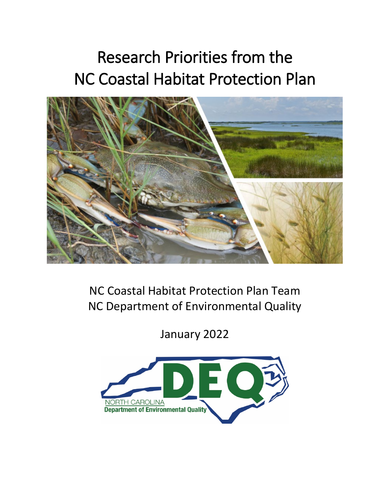# Research Priorities from the NC Coastal Habitat Protection Plan



NC Coastal Habitat Protection Plan Team NC Department of Environmental Quality

January 2022

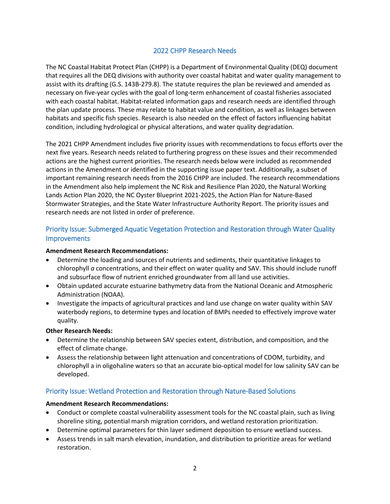## 2022 CHPP Research Needs

The NC Coastal Habitat Protect Plan (CHPP) is a Department of Environmental Quality (DEQ) document that requires all the DEQ divisions with authority over coastal habitat and water quality management to assist with its drafting (G.S. 143B-279.8). The statute requires the plan be reviewed and amended as necessary on five-year cycles with the goal of long-term enhancement of coastal fisheries associated with each coastal habitat. Habitat-related information gaps and research needs are identified through the plan update process. These may relate to habitat value and condition, as well as linkages between habitats and specific fish species. Research is also needed on the effect of factors influencing habitat condition, including hydrological or physical alterations, and water quality degradation.

The 2021 CHPP Amendment includes five priority issues with recommendations to focus efforts over the next five years. Research needs related to furthering progress on these issues and their recommended actions are the highest current priorities. The research needs below were included as recommended actions in the Amendment or identified in the supporting issue paper text. Additionally, a subset of important remaining research needs from the 2016 CHPP are included. The research recommendations in the Amendment also help implement the NC Risk and Resilience Plan 2020, the Natural Working Lands Action Plan 2020, the NC Oyster Blueprint 2021-2025, the Action Plan for Nature-Based Stormwater Strategies, and the State Water Infrastructure Authority Report. The priority issues and research needs are not listed in order of preference.

## Priority Issue: Submerged Aquatic Vegetation Protection and Restoration through Water Quality **Improvements**

#### **Amendment Research Recommendations:**

- Determine the loading and sources of nutrients and sediments, their quantitative linkages to chlorophyll *a* concentrations, and their effect on water quality and SAV. This should include runoff and subsurface flow of nutrient enriched groundwater from all land use activities.
- Obtain updated accurate estuarine bathymetry data from the National Oceanic and Atmospheric Administration (NOAA).
- Investigate the impacts of agricultural practices and land use change on water quality within SAV waterbody regions, to determine types and location of BMPs needed to effectively improve water quality.

#### **Other Research Needs:**

- Determine the relationship between SAV species extent, distribution, and composition, and the effect of climate change.
- Assess the relationship between light attenuation and concentrations of CDOM, turbidity, and chlorophyll a in oligohaline waters so that an accurate bio-optical model for low salinity SAV can be developed.

## Priority Issue: Wetland Protection and Restoration through Nature-Based Solutions

#### **Amendment Research Recommendations:**

- Conduct or complete coastal vulnerability assessment tools for the NC coastal plain, such as living shoreline siting, potential marsh migration corridors, and wetland restoration prioritization.
- Determine optimal parameters for thin layer sediment deposition to ensure wetland success.
- Assess trends in salt marsh elevation, inundation, and distribution to prioritize areas for wetland restoration.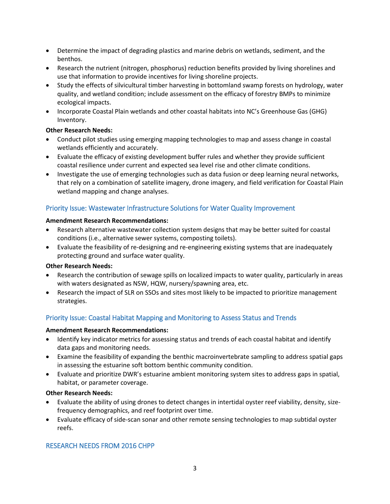- Determine the impact of degrading plastics and marine debris on wetlands, sediment, and the benthos.
- Research the nutrient (nitrogen, phosphorus) reduction benefits provided by living shorelines and use that information to provide incentives for living shoreline projects.
- Study the effects of silvicultural timber harvesting in bottomland swamp forests on hydrology, water quality, and wetland condition; include assessment on the efficacy of forestry BMPs to minimize ecological impacts.
- Incorporate Coastal Plain wetlands and other coastal habitats into NC's Greenhouse Gas (GHG) Inventory.

#### **Other Research Needs:**

- Conduct pilot studies using emerging mapping technologies to map and assess change in coastal wetlands efficiently and accurately.
- Evaluate the efficacy of existing development buffer rules and whether they provide sufficient coastal resilience under current and expected sea level rise and other climate conditions.
- Investigate the use of emerging technologies such as data fusion or deep learning neural networks, that rely on a combination of satellite imagery, drone imagery, and field verification for Coastal Plain wetland mapping and change analyses.

## Priority Issue: Wastewater Infrastructure Solutions for Water Quality Improvement

#### **Amendment Research Recommendations:**

- Research alternative wastewater collection system designs that may be better suited for coastal conditions (i.e., alternative sewer systems, composting toilets).
- Evaluate the feasibility of re-designing and re-engineering existing systems that are inadequately protecting ground and surface water quality.

## **Other Research Needs:**

- Research the contribution of sewage spills on localized impacts to water quality, particularly in areas with waters designated as NSW, HQW, nursery/spawning area, etc.
- Research the impact of SLR on SSOs and sites most likely to be impacted to prioritize management strategies.

# Priority Issue: Coastal Habitat Mapping and Monitoring to Assess Status and Trends

#### **Amendment Research Recommendations:**

- Identify key indicator metrics for assessing status and trends of each coastal habitat and identify data gaps and monitoring needs.
- Examine the feasibility of expanding the benthic macroinvertebrate sampling to address spatial gaps in assessing the estuarine soft bottom benthic community condition.
- Evaluate and prioritize DWR's estuarine ambient monitoring system sites to address gaps in spatial, habitat, or parameter coverage.

#### **Other Research Needs:**

- Evaluate the ability of using drones to detect changes in intertidal oyster reef viability, density, sizefrequency demographics, and reef footprint over time.
- Evaluate efficacy of side-scan sonar and other remote sensing technologies to map subtidal oyster reefs.

# RESEARCH NEEDS FROM 2016 CHPP